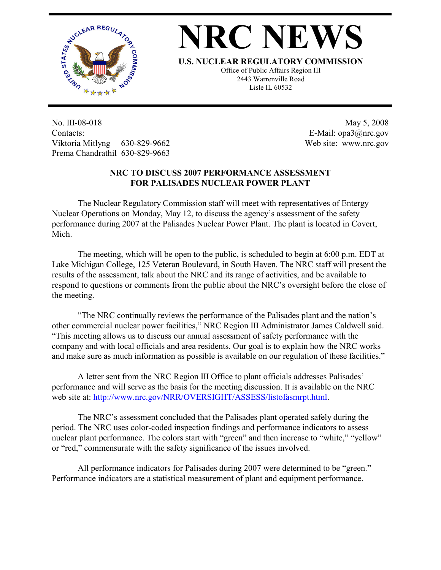

## **NRC NEWS**

**U.S. NUCLEAR REGULATORY COMMISSION**

Office of Public Affairs Region III 2443 Warrenville Road Lisle IL 60532

No. III-08-018 Contacts: Viktoria Mitlyng 630-829-9662 Prema Chandrathil 630-829-9663

 May 5, 2008 E-Mail: opa3@nrc.gov Web site: www.nrc.gov

## **NRC TO DISCUSS 2007 PERFORMANCE ASSESSMENT FOR PALISADES NUCLEAR POWER PLANT**

 The Nuclear Regulatory Commission staff will meet with representatives of Entergy Nuclear Operations on Monday, May 12, to discuss the agency's assessment of the safety performance during 2007 at the Palisades Nuclear Power Plant. The plant is located in Covert, Mich.

 The meeting, which will be open to the public, is scheduled to begin at 6:00 p.m. EDT at Lake Michigan College, 125 Veteran Boulevard, in South Haven. The NRC staff will present the results of the assessment, talk about the NRC and its range of activities, and be available to respond to questions or comments from the public about the NRC's oversight before the close of the meeting.

 "The NRC continually reviews the performance of the Palisades plant and the nation's other commercial nuclear power facilities," NRC Region III Administrator James Caldwell said. "This meeting allows us to discuss our annual assessment of safety performance with the company and with local officials and area residents. Our goal is to explain how the NRC works and make sure as much information as possible is available on our regulation of these facilities."

 A letter sent from the NRC Region III Office to plant officials addresses Palisades' performance and will serve as the basis for the meeting discussion. It is available on the NRC web site at: http://www.nrc.gov/NRR/OVERSIGHT/ASSESS/listofasmrpt.html.

 The NRC's assessment concluded that the Palisades plant operated safely during the period. The NRC uses color-coded inspection findings and performance indicators to assess nuclear plant performance. The colors start with "green" and then increase to "white," "yellow" or "red," commensurate with the safety significance of the issues involved.

 All performance indicators for Palisades during 2007 were determined to be "green." Performance indicators are a statistical measurement of plant and equipment performance.